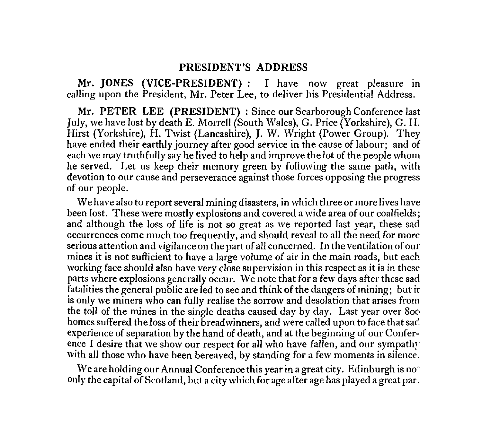# **PRESIDENT'S ADDRESS**

*Mr.* **JONES (VICE-PRESIDENT) :** I have now great pleasure in calling upon the President, Mr. Peter Lee, to deliver his Presidential Address.

**Mr. PETER LEE (PRESIDENT)** : Since our Scarborough Conference last July, we have lost by death E. Morrell (South Wales), G. Price (Yorkshire), G. H. Hirst (Yorkshire), H. Twist (Lancashire), J. W. Wright (Power Group). They have ended their earthly journey after good service in the cause of labour; and of each we may truthfully say he lived to help and improve the lot of the people whom he served. Let us keep their memory green by following the same path, with devotion to our cause and perseverance against those forces opposing the progress of our people.

We have also to report several mining disasters, in which three or more lives have been lost. These were mostly explosions and covered a wide area of our coalfields; and although the loss of life is not so great as we reported last year, these sad occurrences come much too frequently, and should reveal to all the need for more serious attention and vigilance on the part of all concerned. In the ventilation of our mines it is not sufficient to have a large volume of air in the main roads, but each working face should also have very close supervision in this respect as it is in these parts where explosions generally occur. We note that for a few days after these sad fatalities the general public are led to see and think of the dangers of mining; but it is only we miners who can fully realise the sorrow and desolation that arises from the toll of the mines in the single deaths caused day by day. Last year over 8oc homes suffered the loss of their breadwinners, and were called upon to face that sad. experience of separation by the hand of death, and at the beginning of our Conference I desire that we show our respect for all who have fallen, and our sympathy with all those who have been bereaved, by standing for a few moments in silence.

We are holding our Annual Conference this year in a great city. Edinburgh is no' only the capital of Scotland, but a city which for age after age has played a great par.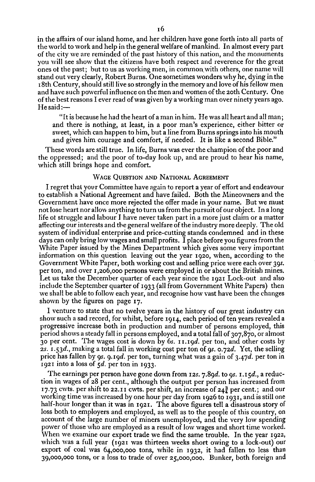in the affairs of our island home, and her children have gone forth into all parts of the world to work and help in the general welfare of mankind. In almost every part of the city we are reminded of the past history of this nation, and the monuments you will see show that the citizens have both respect and reverence for the great ones of the past; but to us as working men, in common with others, one name will stand out very clearly, Robert Burns. One sometimes wonders why he, dying in the i8th Century, should still live so strongly in the memory and love of his fellow men and have such powerful influence on the men and women of the zoth Century. One of the best reasons I ever read of was given by a working man over ninety years ago. He said:—

"It is because he had the heart of a man in him. He was all heart and all man; and there is nothing, at least, in a poor man's experience, either bitter or sweet, which can happen to him, but a line from Burns springs into his mouth and gives him courage and comfort, if needed. It is like a second Bible."

These words are still true. In life, Burns was ever the champion of the poor and the oppressed; and the poor of to-day look up, and are proud to hear his name, which still brings hope and comfort.

# WAGE QUESTION AND NATIONAL AGREEMENT

I regret that your Committee have again to report a year of effort and endeavour to establish a National Agreement and have failed. Both the Mineowners and the Government have once more rejected the offer made in your name. But we must not lose heart nor allow anything to turn us from the pursuit of our object. In a long life of struggle and labour I have never taken part in a more just claim or a matter affecting our interests and the general welfare of the industry more deeply. The old system of individual enterprise and price-cutting stands condemned and in these days can only bring low wages and small profits. I place before you figures from the White Paper issued by the Mines Department which gives some very important information on this question leaving out the year 1920, when, according to the Government White Paper, both working cost and selling price were each over *39s.*  per ton, and over 1,206,000 persons were employed in or about the British mines. Let us take the December quarter of each year since the 1921 Lock-out and also include the September quarter of 1933 (all from Government White Papers) then we shall be able to follow each year, and recognise how vast have been the changes shown by the figures on page 17.

I venture to state that no twelve years in the history of our great industry can show such a sad record, for whilst, before 1914, each period of ten years revealed a progressive increase both in production and number of persons employed, this period shows a steady fall in persons employed, and a total fall of 307,870, or almost 30 per cent. The wages cost is down by *6s.* ii.i9d. per ton, and other costs by *zs. i.53d.,* making a total fall in working cost per ton of 9s. *0.7d.* Yet, the selling price has fallen by 9s. *9. 19d.* per ton, turning what was a gain of *3.47d.* per ton in 1921 into a loss of *5d.* per ton in 1933.

The earnings per person have gone down from 1*2s- 7.89d.* to *9s.* 1-1*5d.,* a reduction in wages of 28 per cent., although the output per person has increased from 17.73 cwts. per shift to 22.11 cwts. per shift, an increase of  $24\frac{3}{4}$  per cent.; and our working time was increased by one hour per day from 1926 to 1931, and is still one half-hour longer than it was in 1921. The above figures tell a disastrous story of loss both to employers and employed, as well as to the people of this country, on account of the large number of miners unemployed, and the very low spending power of those who are employed as a result of low wages and short time worked. When we examine our export trade we find the same trouble. In the year 1922, which was a full year (1921 was thirteen weeks short owing to a lock-out) our export of coal was 64,000,000 tons, while in 1932, it had fallen to less than 39,000,000 tons, or a loss to trade of over 25,000,000. Bunker, both foreign and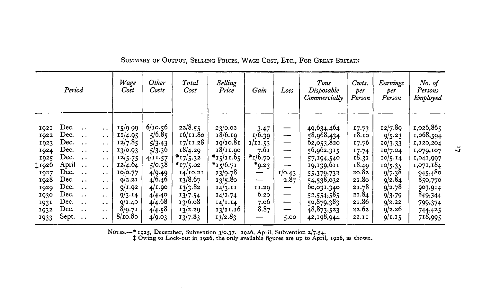| Period                                                                                                       |                                                                                                                                                                                                                                                                                                        |                                                                                                                                                                                                                                                   | Wage<br>Cost                                                                                                                           | Other<br>Costs                                                                                                                   | Total<br>Cost                                                                                                                                         | Selling<br>Price                                                                                                                                    | Gain                                                                                                        | Loss                                                  | Tons<br>Disposable<br>Commercially                                                                                                                                                 | Cwts.<br>per<br>Person                                                                                            | Earnings<br>per<br>Person                                                                                                           | No. of<br>Persons<br>Employed                                                                                                                           |
|--------------------------------------------------------------------------------------------------------------|--------------------------------------------------------------------------------------------------------------------------------------------------------------------------------------------------------------------------------------------------------------------------------------------------------|---------------------------------------------------------------------------------------------------------------------------------------------------------------------------------------------------------------------------------------------------|----------------------------------------------------------------------------------------------------------------------------------------|----------------------------------------------------------------------------------------------------------------------------------|-------------------------------------------------------------------------------------------------------------------------------------------------------|-----------------------------------------------------------------------------------------------------------------------------------------------------|-------------------------------------------------------------------------------------------------------------|-------------------------------------------------------|------------------------------------------------------------------------------------------------------------------------------------------------------------------------------------|-------------------------------------------------------------------------------------------------------------------|-------------------------------------------------------------------------------------------------------------------------------------|---------------------------------------------------------------------------------------------------------------------------------------------------------|
| 1921<br>1922<br>1923<br>1924<br>1925<br><b>‡1926</b><br>1927<br>1928<br>1929<br>1930<br>1931<br>1932<br>1933 | Dec.<br>$\ddotsc$<br>Dec.<br>$\ddot{\phantom{0}}$<br>Dec.<br>$\cdot$ .<br>Dec.<br>. .<br>Dec.<br>$\cdot$ $\cdot$<br>April<br>$\cdots$<br>Dec.<br>$\ddot{\phantom{a}}$<br>Dec.<br>$\ddot{\phantom{0}}$<br>Dec.<br>$\cdot$ .<br>Dec.<br>$\sim$ $\sim$<br>Dec.<br>$\ddotsc$<br>Dec.<br>$\cdot$ .<br>Sept. | $\ddot{\phantom{1}}$<br>$\cdot$ .<br>$\ddot{\phantom{a}}$<br>$\ddot{\phantom{1}}$<br>$\ddot{\phantom{0}}$<br>$\cdot$ .<br>. .<br>$\cdot$ .<br>. .<br>$\ddot{\phantom{a}}$<br>$\ddot{\phantom{1}}$<br>$\ddot{\phantom{0}}$<br>$\ddot{\phantom{1}}$ | 15/9.99<br>11/4.95<br>12/7.85<br>13/0.93<br>12/5.75<br>12/4.64<br>10/0.77<br>Q/2.2I<br>Q/I.92<br>9/3.14<br>9/1.40<br>8/9.71<br>8/10.80 | 6/10.56<br>5/6.85<br>5/3.43<br>5/3.36<br>4/11.57<br>5/0.38<br>4/9.49<br>4/6.46<br>4/1.90<br>4/4.40<br>4/4.68<br>4/4.58<br>4/9.03 | 22/8.55<br>16/11.80<br>17/11.28<br>18/4.29<br>* $17/5.32$<br>$*17/5.02$<br>14/10.21<br>13/8.67<br>13/3.82<br>13/7.54<br>13/6.08<br>13/2.29<br>13/7.83 | 23/0.02<br>18/6.19<br>19/10.81<br>18/11.90<br>*15/11.65<br>$*15/6.71$<br>13/9.78<br>13/5.80<br>14/3.11<br>14/1.74<br>14/1.14<br>13/11.16<br>13/2.83 | $3-47$<br>1/6.39<br>1/11.53<br>7.6I<br>$*1/6.70$<br>$*_{9.23}$<br>—<br>---<br>11.29<br>6.20<br>7.06<br>8.87 | —<br>—<br>-<br>1/0.43<br>2.87<br>–<br>--<br>—<br>5.00 | 49,634,464<br>58,968,434<br>62,053,820<br>56,962,315<br>57,194,540<br>19,139,611<br>55,379,732<br>54,538,032<br>60,031,340<br>52,554,585<br>50,879,383<br>48,873,523<br>42,198,944 | 17.73<br>18.10<br>17.76<br>17.74<br>18.31<br>18.49<br>20.82<br>21.80<br>21.78<br>21.84<br>21.86<br>22.62<br>22.II | 12/7.89<br>9/5.23<br>10/3.33<br>10/7.04<br>10/5.14<br>10/5.35<br>9/7.38<br>9/2.84<br>9/2.78<br>9/3.79<br>Q/2.22<br>9/2.26<br>9/1.15 | 1,026,865<br>1,068,594<br>1,120,204<br>1,079,107<br>1,041,997<br>1,071,184<br>945,480<br>850,770<br>903,914<br>849,344<br>799,374<br>744,425<br>718,995 |

*SUMMARY OF OUTPUT, SELLING PRICES, WAGE COST, ETC., FOR GREAT BRITAIN* 

*NOTES.-\** 1925, December, Subvention 3/0.37. 1926, April, Subvention 2/7.54.

*1* Owing to Lock-out in 1926, the only available figures are up to April, 1926, as shown.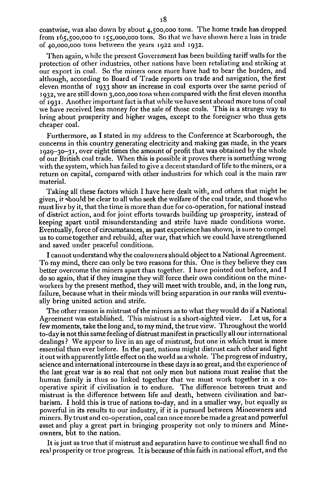coastwise, was also down by about 4,500,000 tons. The home trade has dropped from 165,500,000 to 155,000,000 tons. So that we have shown here a loss in trade of 40,000,000 tons between the years 1922 and 1932.

Then again, while the present Government has been building tariff walls for the protection of other industries, other nations have been retaliating and striking at our export in coal. So the miners once more have had to bear the burden, and although, according to Board of Trade reports on trade and navigation, the first eleven months of 1933 show an increase in coal exports over the same period of 1932, we are still down 3,000,000 tons when compared with the first eleven months Of 193 1. Another important fact is that while we have sent abroad more tons of coal we have received less money for the sale of those coals. This is a strange way to bring about prosperity and higher wages, except to the foreigner who thus gets cheaper coal.

Furthermore, as I stated in my address to the Conference at Scarborough, the concerns in this country generating electricity and making gas made, in the years  $1929-30-31$ , over eight times the amount of profit that was obtained by the whole of our British coal trade. When this is possible it proves there is something wrong with the system, which has failed to give a decent standard of life to the miners, or a return on capital, compared with other industries for which coal is the main raw material.

Taking all these factors which I have here dealt with, and others that might be given, it should be clear to all who seek the welfare of the coal trade, and those who must live by it, that the time is more than due for co-operation, for national instead of district action, and for joint efforts towards building up prosperity, instead of keeping apart until misunderstanding and strife have made conditions worse. Eventually, force of circumstances, as past experience has shown, is sure to compel us to come together and rebuild, after war, that which we could have strengthened and saved under peaceful conditions.

I cannot understand why the coalowners should object to a National Agreement. To my mind, there can only be two reasons for this. One is they believe they can better overcome the miners apart than together. I have pointed out before, and I do so again, that if they imagine they will force their own conditions on the mineworkers by the present method, they will meet with trouble, and, in the long run, failure, because what in their minds will bring separation in our ranks will eventually bring united action and strife.

The other reason is mistrust of the miners as to what they would do if a National Agreement was established. This mistrust is a short-sighted view. Let us, for a few moments, take the long and, to my mind, the true view. Throughout the world to-day is not this same feeling of distrust manifest in practically all our international dealings? We appear to live in an age of mistrust, but one in which trust is more essential than ever before. In the past, nations might distrust each other and fight it out with apparently little effect on the world as a whole. The progress of industry, science and international intercourse in these days is so great, and the experience of the last great war is so real that not only men but nations must realise that the human family is thus so linked together that we must work together in a cooperative spirit if civilisation is to endure. The difference between trust and mistrust is the difference between life and death, between civilisation and barbarism. I hold this is true of nations to-day, and in a smaller way, but equally as powerful in its results to our industry, if it is pursued between Mineowners and miners. By trust and co-operation, coal can once more be made a great and powerful asset and play a great part in bringing prosperity not only to miners and Mineowners, but to the nation.

It is just as true that if mistrust and separation have to continue we shall find no real prosperity or true progress. It is because of this faith in national effort, and the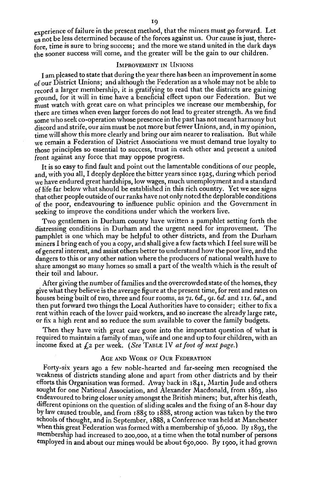experience of failure in the present method, that the miners must go forward. Let us not be less determined because of the forces against us. Our cause is just, therefore, time is sure to bring success; and the more we stand united in the dark days the sooner success will come, and the greater will be the gain to our children.

# IMPROVEMENT IN IINIONS

I am pleased to state that during the year there has been an improvement in some of our District Unions; and although the Federation as a whole may not be able to record a larger membership, it is gratifying to read that the districts are gaining ground, for it will in time have a beneficial effect upon our Federation. But we must watch with great care on what principles we increase our membership, for there are times when even larger forces do not lead to greater strength. As we find some who seek co-operation whose presence in the past has not meant harmony but discord and strife, our aim must be not more but fewer Unions, and, in my opinion, time will show this more clearly and bring our aim nearer to realisation. But while we remain a Federation of District Associations we must demand true loyalty to those principles so essential to success, trust in each other and present a united front against any force that may oppose progress.

It is so easy to find fault and point out the lamentable conditions of our people, and, with you all, I deeply deplore the bitter years since 1925, during which period we have endured great hardships, low wages, much unemployment and a standard of life far below what should be established in this rich country. Yet we see signs that other people outside of our ranks have not only noted the deplorable conditions of the poor, endeavouring to influence public opinion and the Government in seeking to improve the conditions under which the workers live.

Two gentlemen in Durham county have written a pamphlet setting forth the distressing conditions in Durham and the urgent need for improvement. The pamphlet is one which may be helpful to other districts, and from the Durham miners I bring each of you a copy, and shall give a few facts which I feel sure will be of general interest, and assist others better to understand how the poor live, and the dangers to this or any other nation where the producers of national wealth have to share amongst so many homes so small a part of the wealth which is the result of their toil and labour.

After giving the number of families and the overcrowded state of the homes, they give what they believe is the average figure at the present time, for rent and rates on houses being built of two, three and four rooms, as 7s. 6d., 9s. 6d. and 11s. 6d., and then put forward two things the Local Authorities have to consider; either to fix a rent within reach of the lower paid workers, and so increase the already large rate, or fix a high rent and so reduce the sum available to cover the family budgets.

Then they have with great care gone into the important question of what is required to maintain a family of man, wife and one and up to four children, with an income fixed at  $f_1$ <sub>2</sub> per week. *(See TABLE IV at foot of next page.)* 

#### AGE AND WORK OF OUR FEDERATION

Forty-six years ago a few noble-hearted and far-seeing men recognised the weakness of districts standing alone and apart from other districts and by their efforts this Organisation was formed. Away back in 1841, Martin Jude and others sought for one National Association, and Alexander Macdonald, from 1863, also endeavoured to bring closer unity amongst the British miners; but, after his death, different opinions on the question of sliding scales and the fixing of an 8-hour day by law caused trouble, and from 1885 to 1888, strong action was taken by the two schools of thought, and in September, 1888, a Conference was held at Manchester when this great Federation was formed with a membership of 36,000. By 1893, the membership had increased to zoo,000, at a time when the total number of persons employed in and about our mines would be about *650,000.* By 1900, it had grown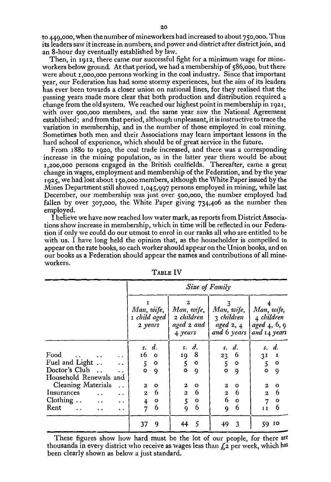to 449,000, when the number of mineworkers had increased to about 750,000. Thus its leaders saw it increase in numbers, and power and district after district join, and an 8-hour day eventually established by law.

Then, in 1912, there came our successful fight for a minimum wage for mineworkers below ground. At that period, we had a membership of 586,000, but there were about 1,000,000 persons working in the coal industry. Since that important year, our Federation has had some stormy experiences, but the aim of its leaders has ever been towards a closer union on national lines, for they realised that the passing years made more clear that both production and distribution required a change from the old system. We reached our highest point in membership in 1921, with over 900,000 members, and the same year saw the National Agreement established; and from that period, although unpleasant, it is instructive to trace the variation in membership, and in the number of those employed in coal mining. Sometimes both men and their Associations may learn important lessons in the hard school of experience, which should be of great service in the future.

From 188o to 1920, the coal trade increased, and there was a corresponding increase in the mining population, as in the latter year there would be about 1,200,000 persons engaged in the British coalfields. Thereafter, came a great change in wages, employment and membership of the Federation, and by the year 1925, we had lost about 150,000 members, although the White Paper issued by the Mines Department still showed 1,045,997 persons employed in mining, while last December, our membership was just over 500,000, the number employed had fallen by over 307,000, the White Paper giving  $734,406$  as the number then employed.

I believe we have now reached low water mark, as reports from District Associations show increase in membership, which in time will be reflected in our Federation if only we could do our utmost to enrol in our ranks all who are entitled to be with us. I have long held the opinion that, as the householder is compelled to appear on the rate books, so each worker should appear on the Union books, and on our books as a Federation should appear the names and contributions of all mineworkers.

|                                                                                                                                                                                                                                                                                                                                                             | Size of Family                                                                                                                                               |                                                                                                                          |                                                                                                                                |                                                                                                                                                                                       |  |  |  |  |  |
|-------------------------------------------------------------------------------------------------------------------------------------------------------------------------------------------------------------------------------------------------------------------------------------------------------------------------------------------------------------|--------------------------------------------------------------------------------------------------------------------------------------------------------------|--------------------------------------------------------------------------------------------------------------------------|--------------------------------------------------------------------------------------------------------------------------------|---------------------------------------------------------------------------------------------------------------------------------------------------------------------------------------|--|--|--|--|--|
|                                                                                                                                                                                                                                                                                                                                                             | Man, wife,<br>$\lceil$ child aged<br>2 years                                                                                                                 | 2<br>Man, wife,<br>2 children<br>aged $2$ and $ $<br>4 years                                                             | 3<br>Man, wife,<br>3 children<br>aged $2, 4$<br>and 6 years                                                                    | Man, wife,<br>4 children<br>$aged\,4,6,9$<br>and 14 years                                                                                                                             |  |  |  |  |  |
| Food<br>Fuel and Light<br>$\ddot{\phantom{a}}$<br>Doctor's Club<br>$\ddot{\phantom{0}}$<br>Household Renewals and<br><b>Cleaning Materials</b><br>$\ddot{\phantom{0}}$<br>Insurances<br>$\ddot{\phantom{a}}$<br>$\ddot{\phantom{a}}$<br>Clothing $\ldots$<br>$\sim$ $\sim$<br>$\ddot{\phantom{0}}$<br>Rent.<br>$\ddot{\phantom{a}}$<br>$\ddot{\phantom{1}}$ | s. d.<br>16<br>$\circ$<br>$\circ$<br>5<br>$\ddot{\mathbf{o}}$<br>9<br>2<br>$\circ$<br>-6<br>$\mathbf{z}$<br>$\overline{4}$<br>$\circ$<br>6<br>$\overline{7}$ | s. d.<br>19 8<br>5<br>$\mathbf{o}$<br>$\bullet$<br>9<br>2<br>$\circ$<br>6<br>$\overline{\mathbf{c}}$<br>5<br>o<br>6<br>9 | s. d.<br>6<br>23<br>5<br>$\mathbf{o}$<br>$\circ$<br>-9<br>2<br>$\circ$<br>6<br>$\boldsymbol{2}$<br>6<br>$\mathbf{o}$<br>6<br>9 | s. d.<br>3 <sup>T</sup><br>$\mathbf{I}$<br>5<br>$\circ$<br>$\circ$<br>9<br>$\boldsymbol{2}$<br>$\circ$<br>-6<br>$\overline{2}$<br>$\mathbf{o}$<br>$\overline{7}$<br>6<br>$\mathbf{I}$ |  |  |  |  |  |
|                                                                                                                                                                                                                                                                                                                                                             | 37<br>9                                                                                                                                                      | 5<br>44                                                                                                                  | 3<br>49                                                                                                                        | 59 10                                                                                                                                                                                 |  |  |  |  |  |

TABLE IV

These figures show how hard must be the lot of our people, for there are thousands in every district who receive as wages less than  $\zeta$  per week, which has been clearly shown as below a just standard.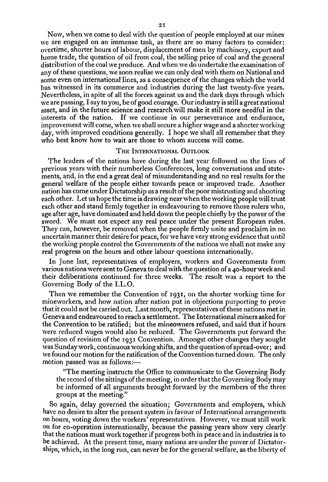Now, when we come to deal with the question of people employed at our mines we are engaged on an immense task, as there are so many factors to consider: overtime, shorter hours of labour, displacement of men by machinery, export and home trade, the question of oil from coal, the selling price of coal and the general distribution of the coal we produce. And when we do undertake the examination of any of these questions, we soon realise we can only deal with them on National and some even on international lines, as a consequence of the changes which the world has witnessed in its commerce and industries during the last twenty-five years. Nevertheless, in spite of all the forces against us and the dark days through which Ave are passing, I say to you, be of good courage. Our industry is still a great national asset, and in the future science and research will make it still more needful in the interests of the nation. If we continue in our perseverance and endurance, improvement will come, when we shall secure a higher wage and a shorter working day, with improved conditions generally. I hope we shall all remember that they who best know how to wait are those to whom success will come.

## THE INTERNATIONAL OUTLOOK

The leaders of the nations have during the last year followed on the lines of previous years with their numberless Conferences, long conversations and statements, and, in the end a great deal of misunderstanding and no real results for the general welfare of the people either towards peace or improved trade. Another nation has come under Dictatorship as a result of the poor mistrusting and shooting each other. Let us hope the time is drawing near when the working people will trust each other and stand firmly together in endeavouring to remove those rulers who, age after age, have dominated and held down the people chiefly by the power of the sword. We must not expect any real peace under the present European rules. They can, however, be removed when the people firmly unite and proclaim in no uncertain manner their desire for peace, for we have very strong evidence that until the working people control the Governments of the nations we shall not make any real progress on the hours and other labour questions internationally.

In June last, representatives of employers, workers and Governments from various nations were sent to Geneva to deal with the question of a 40-hour week and their deliberations continued for three weeks. The result was a report to the Governing Body of the I.L.O.

Then we remember the Convention of 1931, on the shorter working time for mineworkers, and how nation after nation put in objections purporting to prove that it could not be carried out. Last month, representatives of these nations met in Geneva and endeavoured to reach a settlement. The International miners asked for the Convention to be ratified; but the mineowners refused, and said that if hours were reduced wages would also be reduced. The Governments put forward the question of revision of the 1931 Convention. Amongst other changes they sought was Sunday work, continuous working shifts, and the question of spread-over; and we found our motion for the ratification of the Convention turned down. The only motion passed was as follows:—

"The meeting instructs the Office to communicate to the Governing Body the record of the sittings of the meeting, in order that the Governing Body may be informed of all arguments brought forward by the members of the three groups at the meeting."

So again, delay governed the situation; Governments and employers, which have no desire to alter the present system in favour of International arrangements on hours, voting down the workers' representatives. However, we must still work on for co-operation internationally, because the passing years show very clearly that the nations must work together if progress both in peace and in industries is to be achieved. At the present time, many nations are under the power of Dictatorships, which, in the long run, can never be for the general welfare, as the liberty of